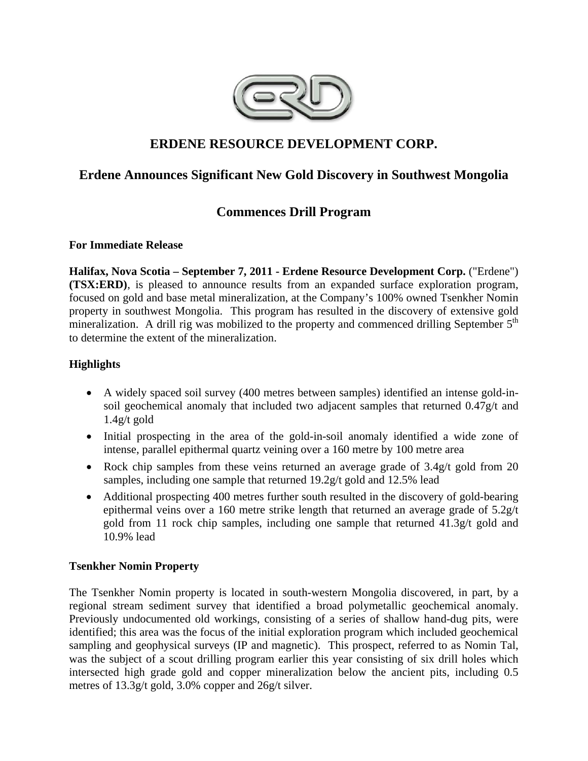

# **ERDENE RESOURCE DEVELOPMENT CORP.**

# **Erdene Announces Significant New Gold Discovery in Southwest Mongolia**

# **Commences Drill Program**

## **For Immediate Release**

**Halifax, Nova Scotia – September 7, 2011 - Erdene Resource Development Corp.** ("Erdene") **(TSX:ERD)**, is pleased to announce results from an expanded surface exploration program, focused on gold and base metal mineralization, at the Company's 100% owned Tsenkher Nomin property in southwest Mongolia. This program has resulted in the discovery of extensive gold mineralization. A drill rig was mobilized to the property and commenced drilling September  $5<sup>th</sup>$ to determine the extent of the mineralization.

## **Highlights**

- A widely spaced soil survey (400 metres between samples) identified an intense gold-insoil geochemical anomaly that included two adjacent samples that returned 0.47g/t and 1.4g/t gold
- Initial prospecting in the area of the gold-in-soil anomaly identified a wide zone of intense, parallel epithermal quartz veining over a 160 metre by 100 metre area
- Rock chip samples from these veins returned an average grade of 3.4g/t gold from 20 samples, including one sample that returned 19.2g/t gold and 12.5% lead
- Additional prospecting 400 metres further south resulted in the discovery of gold-bearing epithermal veins over a 160 metre strike length that returned an average grade of 5.2g/t gold from 11 rock chip samples, including one sample that returned 41.3g/t gold and 10.9% lead

## **Tsenkher Nomin Property**

The Tsenkher Nomin property is located in south-western Mongolia discovered, in part, by a regional stream sediment survey that identified a broad polymetallic geochemical anomaly. Previously undocumented old workings, consisting of a series of shallow hand-dug pits, were identified; this area was the focus of the initial exploration program which included geochemical sampling and geophysical surveys (IP and magnetic). This prospect, referred to as Nomin Tal, was the subject of a scout drilling program earlier this year consisting of six drill holes which intersected high grade gold and copper mineralization below the ancient pits, including 0.5 metres of 13.3g/t gold, 3.0% copper and 26g/t silver.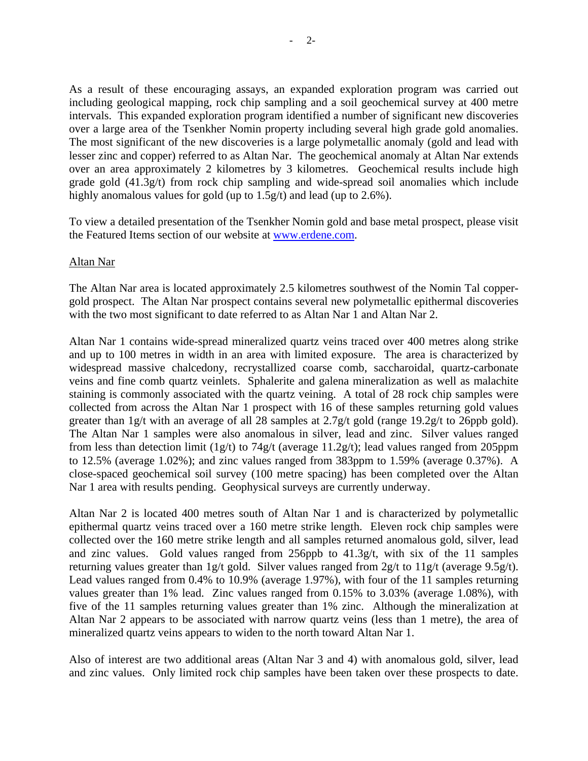As a result of these encouraging assays, an expanded exploration program was carried out including geological mapping, rock chip sampling and a soil geochemical survey at 400 metre intervals. This expanded exploration program identified a number of significant new discoveries over a large area of the Tsenkher Nomin property including several high grade gold anomalies. The most significant of the new discoveries is a large polymetallic anomaly (gold and lead with lesser zinc and copper) referred to as Altan Nar. The geochemical anomaly at Altan Nar extends over an area approximately 2 kilometres by 3 kilometres. Geochemical results include high grade gold (41.3g/t) from rock chip sampling and wide-spread soil anomalies which include highly anomalous values for gold (up to 1.5g/t) and lead (up to 2.6%).

To view a detailed presentation of the Tsenkher Nomin gold and base metal prospect, please visit the Featured Items section of our website at www.erdene.com.

### Altan Nar

The Altan Nar area is located approximately 2.5 kilometres southwest of the Nomin Tal coppergold prospect. The Altan Nar prospect contains several new polymetallic epithermal discoveries with the two most significant to date referred to as Altan Nar 1 and Altan Nar 2.

Altan Nar 1 contains wide-spread mineralized quartz veins traced over 400 metres along strike and up to 100 metres in width in an area with limited exposure. The area is characterized by widespread massive chalcedony, recrystallized coarse comb, saccharoidal, quartz-carbonate veins and fine comb quartz veinlets. Sphalerite and galena mineralization as well as malachite staining is commonly associated with the quartz veining. A total of 28 rock chip samples were collected from across the Altan Nar 1 prospect with 16 of these samples returning gold values greater than 1g/t with an average of all 28 samples at 2.7g/t gold (range 19.2g/t to 26ppb gold). The Altan Nar 1 samples were also anomalous in silver, lead and zinc. Silver values ranged from less than detection limit (1g/t) to 74g/t (average 11.2g/t); lead values ranged from 205ppm to 12.5% (average 1.02%); and zinc values ranged from 383ppm to 1.59% (average 0.37%). A close-spaced geochemical soil survey (100 metre spacing) has been completed over the Altan Nar 1 area with results pending. Geophysical surveys are currently underway.

Altan Nar 2 is located 400 metres south of Altan Nar 1 and is characterized by polymetallic epithermal quartz veins traced over a 160 metre strike length. Eleven rock chip samples were collected over the 160 metre strike length and all samples returned anomalous gold, silver, lead and zinc values. Gold values ranged from 256ppb to 41.3g/t, with six of the 11 samples returning values greater than 1g/t gold. Silver values ranged from 2g/t to 11g/t (average 9.5g/t). Lead values ranged from 0.4% to 10.9% (average 1.97%), with four of the 11 samples returning values greater than 1% lead. Zinc values ranged from 0.15% to 3.03% (average 1.08%), with five of the 11 samples returning values greater than 1% zinc. Although the mineralization at Altan Nar 2 appears to be associated with narrow quartz veins (less than 1 metre), the area of mineralized quartz veins appears to widen to the north toward Altan Nar 1.

Also of interest are two additional areas (Altan Nar 3 and 4) with anomalous gold, silver, lead and zinc values. Only limited rock chip samples have been taken over these prospects to date.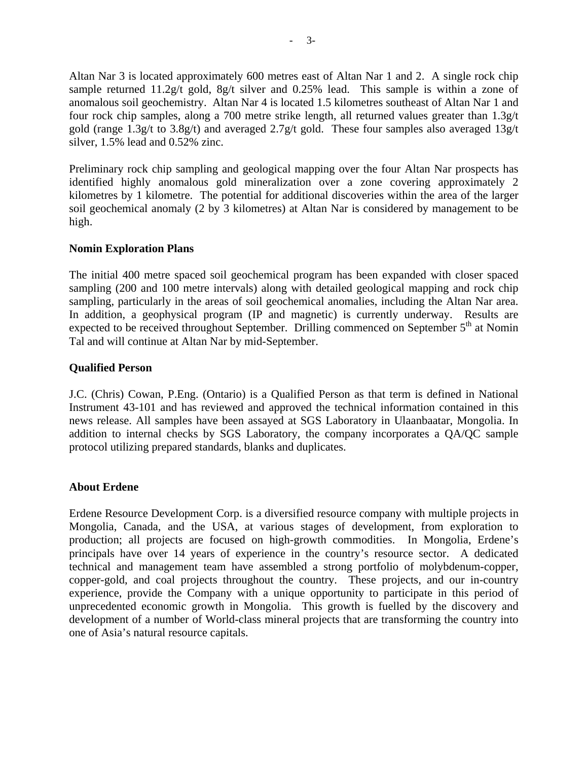Altan Nar 3 is located approximately 600 metres east of Altan Nar 1 and 2. A single rock chip sample returned 11.2g/t gold, 8g/t silver and 0.25% lead. This sample is within a zone of anomalous soil geochemistry. Altan Nar 4 is located 1.5 kilometres southeast of Altan Nar 1 and four rock chip samples, along a 700 metre strike length, all returned values greater than 1.3g/t gold (range 1.3g/t to 3.8g/t) and averaged 2.7g/t gold. These four samples also averaged 13g/t silver, 1.5% lead and 0.52% zinc.

Preliminary rock chip sampling and geological mapping over the four Altan Nar prospects has identified highly anomalous gold mineralization over a zone covering approximately 2 kilometres by 1 kilometre. The potential for additional discoveries within the area of the larger soil geochemical anomaly (2 by 3 kilometres) at Altan Nar is considered by management to be high.

### **Nomin Exploration Plans**

The initial 400 metre spaced soil geochemical program has been expanded with closer spaced sampling (200 and 100 metre intervals) along with detailed geological mapping and rock chip sampling, particularly in the areas of soil geochemical anomalies, including the Altan Nar area. In addition, a geophysical program (IP and magnetic) is currently underway. Results are expected to be received throughout September. Drilling commenced on September  $5<sup>th</sup>$  at Nomin Tal and will continue at Altan Nar by mid-September.

## **Qualified Person**

J.C. (Chris) Cowan, P.Eng. (Ontario) is a Qualified Person as that term is defined in National Instrument 43-101 and has reviewed and approved the technical information contained in this news release. All samples have been assayed at SGS Laboratory in Ulaanbaatar, Mongolia. In addition to internal checks by SGS Laboratory, the company incorporates a QA/QC sample protocol utilizing prepared standards, blanks and duplicates.

### **About Erdene**

Erdene Resource Development Corp. is a diversified resource company with multiple projects in Mongolia, Canada, and the USA, at various stages of development, from exploration to production; all projects are focused on high-growth commodities. In Mongolia, Erdene's principals have over 14 years of experience in the country's resource sector. A dedicated technical and management team have assembled a strong portfolio of molybdenum-copper, copper-gold, and coal projects throughout the country. These projects, and our in-country experience, provide the Company with a unique opportunity to participate in this period of unprecedented economic growth in Mongolia. This growth is fuelled by the discovery and development of a number of World-class mineral projects that are transforming the country into one of Asia's natural resource capitals.